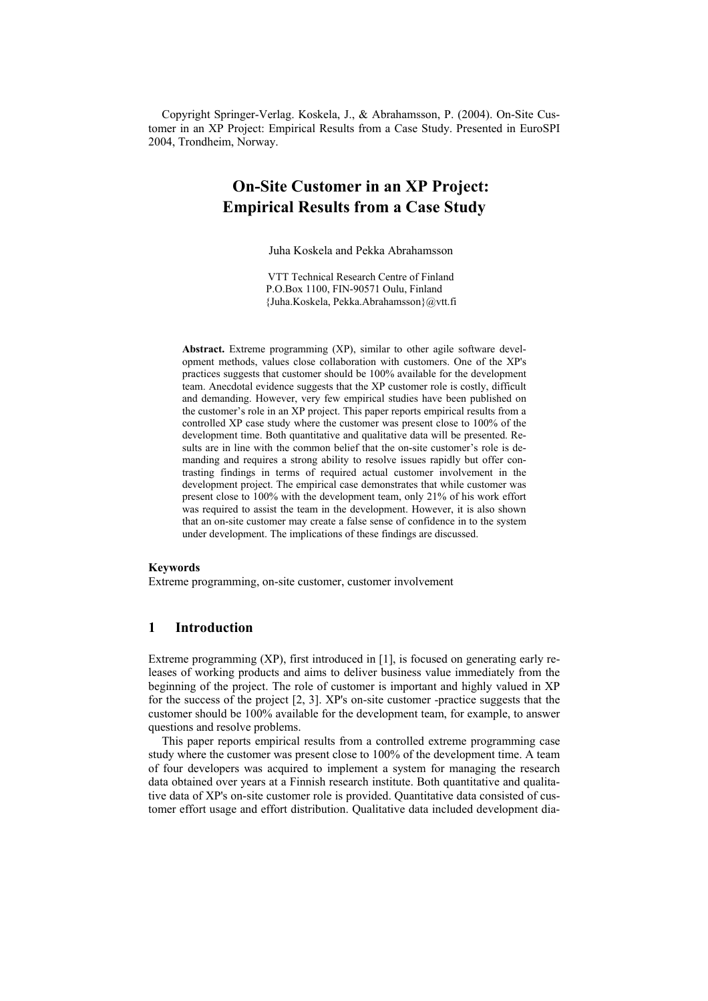# **On-Site Customer in an XP Project: Empirical Results from a Case Study**

Juha Koskela and Pekka Abrahamsson

VTT Technical Research Centre of Finland P.O.Box 1100, FIN-90571 Oulu, Finland {Juha.Koskela, Pekka.Abrahamsson}@vtt.fi

**Abstract.** Extreme programming (XP), similar to other agile software development methods, values close collaboration with customers. One of the XP's practices suggests that customer should be 100% available for the development team. Anecdotal evidence suggests that the XP customer role is costly, difficult and demanding. However, very few empirical studies have been published on the customer's role in an XP project. This paper reports empirical results from a controlled XP case study where the customer was present close to 100% of the development time. Both quantitative and qualitative data will be presented. Results are in line with the common belief that the on-site customer's role is demanding and requires a strong ability to resolve issues rapidly but offer contrasting findings in terms of required actual customer involvement in the development project. The empirical case demonstrates that while customer was present close to 100% with the development team, only 21% of his work effort was required to assist the team in the development. However, it is also shown that an on-site customer may create a false sense of confidence in to the system under development. The implications of these findings are discussed.

#### **Keywords**

Extreme programming, on-site customer, customer involvement

## **1 Introduction**

Extreme programming (XP), first introduced in [1], is focused on generating early releases of working products and aims to deliver business value immediately from the beginning of the project. The role of customer is important and highly valued in XP for the success of the project [2, 3]. XP's on-site customer -practice suggests that the customer should be 100% available for the development team, for example, to answer questions and resolve problems.

This paper reports empirical results from a controlled extreme programming case study where the customer was present close to 100% of the development time. A team of four developers was acquired to implement a system for managing the research data obtained over years at a Finnish research institute. Both quantitative and qualitative data of XP's on-site customer role is provided. Quantitative data consisted of customer effort usage and effort distribution. Qualitative data included development dia-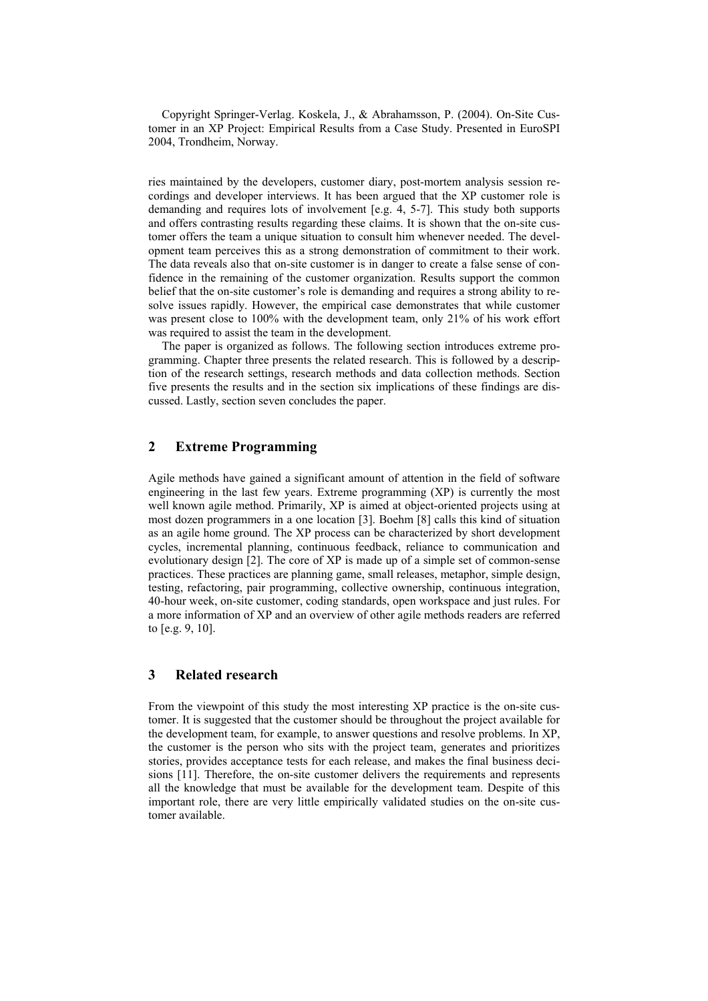ries maintained by the developers, customer diary, post-mortem analysis session recordings and developer interviews. It has been argued that the XP customer role is demanding and requires lots of involvement [e.g. 4, 5-7]. This study both supports and offers contrasting results regarding these claims. It is shown that the on-site customer offers the team a unique situation to consult him whenever needed. The development team perceives this as a strong demonstration of commitment to their work. The data reveals also that on-site customer is in danger to create a false sense of confidence in the remaining of the customer organization. Results support the common belief that the on-site customer's role is demanding and requires a strong ability to resolve issues rapidly. However, the empirical case demonstrates that while customer was present close to 100% with the development team, only 21% of his work effort was required to assist the team in the development.

The paper is organized as follows. The following section introduces extreme programming. Chapter three presents the related research. This is followed by a description of the research settings, research methods and data collection methods. Section five presents the results and in the section six implications of these findings are discussed. Lastly, section seven concludes the paper.

# **2 Extreme Programming**

Agile methods have gained a significant amount of attention in the field of software engineering in the last few years. Extreme programming (XP) is currently the most well known agile method. Primarily, XP is aimed at object-oriented projects using at most dozen programmers in a one location [3]. Boehm [8] calls this kind of situation as an agile home ground. The XP process can be characterized by short development cycles, incremental planning, continuous feedback, reliance to communication and evolutionary design [2]. The core of XP is made up of a simple set of common-sense practices. These practices are planning game, small releases, metaphor, simple design, testing, refactoring, pair programming, collective ownership, continuous integration, 40-hour week, on-site customer, coding standards, open workspace and just rules. For a more information of XP and an overview of other agile methods readers are referred to [e.g. 9, 10].

# **3 Related research**

From the viewpoint of this study the most interesting XP practice is the on-site customer. It is suggested that the customer should be throughout the project available for the development team, for example, to answer questions and resolve problems. In XP, the customer is the person who sits with the project team, generates and prioritizes stories, provides acceptance tests for each release, and makes the final business decisions [11]. Therefore, the on-site customer delivers the requirements and represents all the knowledge that must be available for the development team. Despite of this important role, there are very little empirically validated studies on the on-site customer available.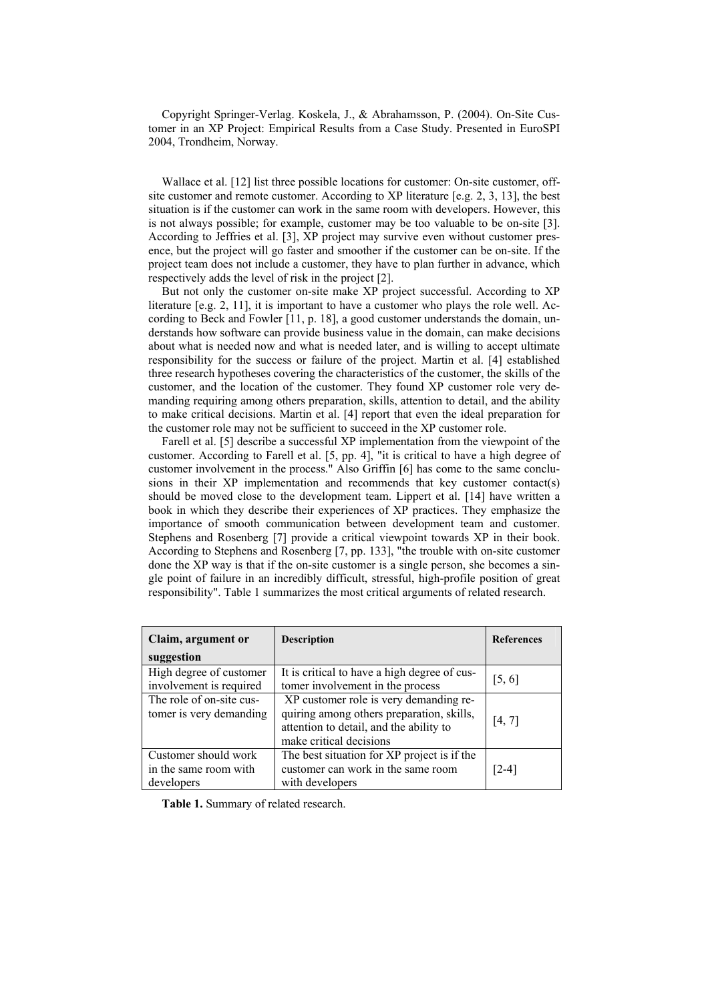Wallace et al. [12] list three possible locations for customer: On-site customer, offsite customer and remote customer. According to XP literature [e.g. 2, 3, 13], the best situation is if the customer can work in the same room with developers. However, this is not always possible; for example, customer may be too valuable to be on-site [3]. According to Jeffries et al. [3], XP project may survive even without customer presence, but the project will go faster and smoother if the customer can be on-site. If the project team does not include a customer, they have to plan further in advance, which respectively adds the level of risk in the project [2].

But not only the customer on-site make XP project successful. According to XP literature [e.g. 2, 11], it is important to have a customer who plays the role well. According to Beck and Fowler [11, p. 18], a good customer understands the domain, understands how software can provide business value in the domain, can make decisions about what is needed now and what is needed later, and is willing to accept ultimate responsibility for the success or failure of the project. Martin et al. [4] established three research hypotheses covering the characteristics of the customer, the skills of the customer, and the location of the customer. They found XP customer role very demanding requiring among others preparation, skills, attention to detail, and the ability to make critical decisions. Martin et al. [4] report that even the ideal preparation for the customer role may not be sufficient to succeed in the XP customer role.

Farell et al. [5] describe a successful XP implementation from the viewpoint of the customer. According to Farell et al. [5, pp. 4], "it is critical to have a high degree of customer involvement in the process." Also Griffin [6] has come to the same conclusions in their XP implementation and recommends that key customer contact(s) should be moved close to the development team. Lippert et al. [14] have written a book in which they describe their experiences of XP practices. They emphasize the importance of smooth communication between development team and customer. Stephens and Rosenberg [7] provide a critical viewpoint towards XP in their book. According to Stephens and Rosenberg [7, pp. 133], "the trouble with on-site customer done the XP way is that if the on-site customer is a single person, she becomes a single point of failure in an incredibly difficult, stressful, high-profile position of great responsibility". Table 1 summarizes the most critical arguments of related research.

| Claim, argument or       | <b>Description</b>                           | <b>References</b> |  |
|--------------------------|----------------------------------------------|-------------------|--|
| suggestion               |                                              |                   |  |
| High degree of customer  | It is critical to have a high degree of cus- |                   |  |
| involvement is required  | tomer involvement in the process             | [5, 6]            |  |
| The role of on-site cus- | XP customer role is very demanding re-       |                   |  |
| tomer is very demanding  | quiring among others preparation, skills,    | [4, 7]            |  |
|                          | attention to detail, and the ability to      |                   |  |
|                          | make critical decisions                      |                   |  |
| Customer should work     | The best situation for XP project is if the  |                   |  |
| in the same room with    | customer can work in the same room           | [2-4]             |  |
| developers               | with developers                              |                   |  |

**Table 1.** Summary of related research.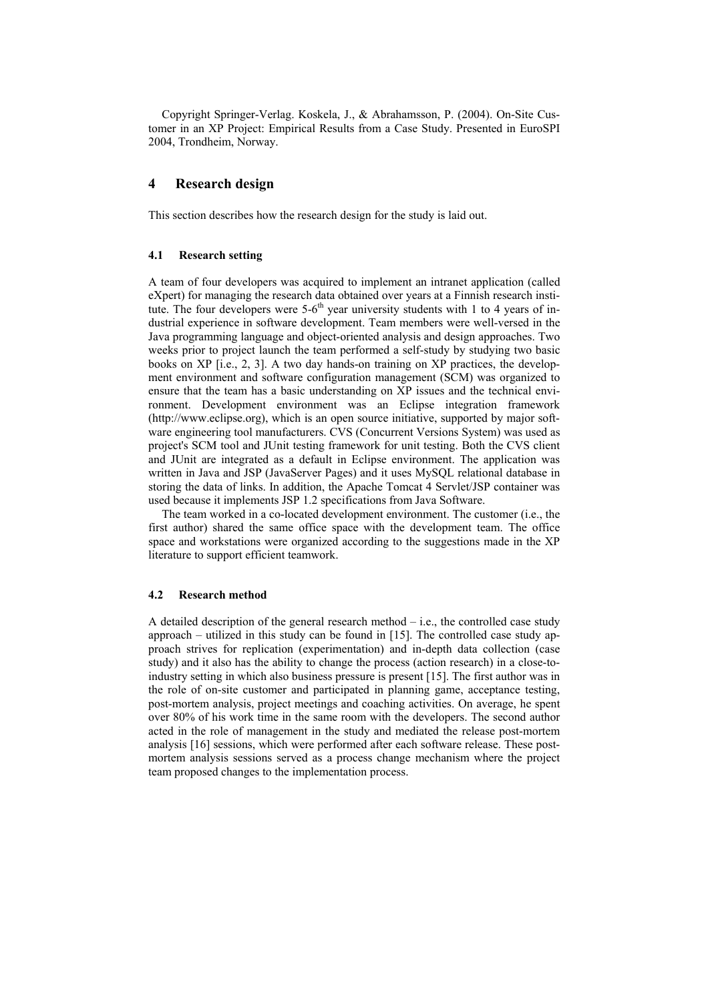# **4 Research design**

This section describes how the research design for the study is laid out.

## **4.1 Research setting**

A team of four developers was acquired to implement an intranet application (called eXpert) for managing the research data obtained over years at a Finnish research institute. The four developers were  $5-6<sup>th</sup>$  year university students with 1 to 4 years of industrial experience in software development. Team members were well-versed in the Java programming language and object-oriented analysis and design approaches. Two weeks prior to project launch the team performed a self-study by studying two basic books on XP [i.e., 2, 3]. A two day hands-on training on XP practices, the development environment and software configuration management (SCM) was organized to ensure that the team has a basic understanding on XP issues and the technical environment. Development environment was an Eclipse integration framework (http://www.eclipse.org), which is an open source initiative, supported by major software engineering tool manufacturers. CVS (Concurrent Versions System) was used as project's SCM tool and JUnit testing framework for unit testing. Both the CVS client and JUnit are integrated as a default in Eclipse environment. The application was written in Java and JSP (JavaServer Pages) and it uses MySQL relational database in storing the data of links. In addition, the Apache Tomcat 4 Servlet/JSP container was used because it implements JSP 1.2 specifications from Java Software.

The team worked in a co-located development environment. The customer (i.e., the first author) shared the same office space with the development team. The office space and workstations were organized according to the suggestions made in the XP literature to support efficient teamwork.

# **4.2 Research method**

A detailed description of the general research method  $-$  i.e., the controlled case study approach – utilized in this study can be found in [15]. The controlled case study approach strives for replication (experimentation) and in-depth data collection (case study) and it also has the ability to change the process (action research) in a close-toindustry setting in which also business pressure is present [15]. The first author was in the role of on-site customer and participated in planning game, acceptance testing, post-mortem analysis, project meetings and coaching activities. On average, he spent over 80% of his work time in the same room with the developers. The second author acted in the role of management in the study and mediated the release post-mortem analysis [16] sessions, which were performed after each software release. These postmortem analysis sessions served as a process change mechanism where the project team proposed changes to the implementation process.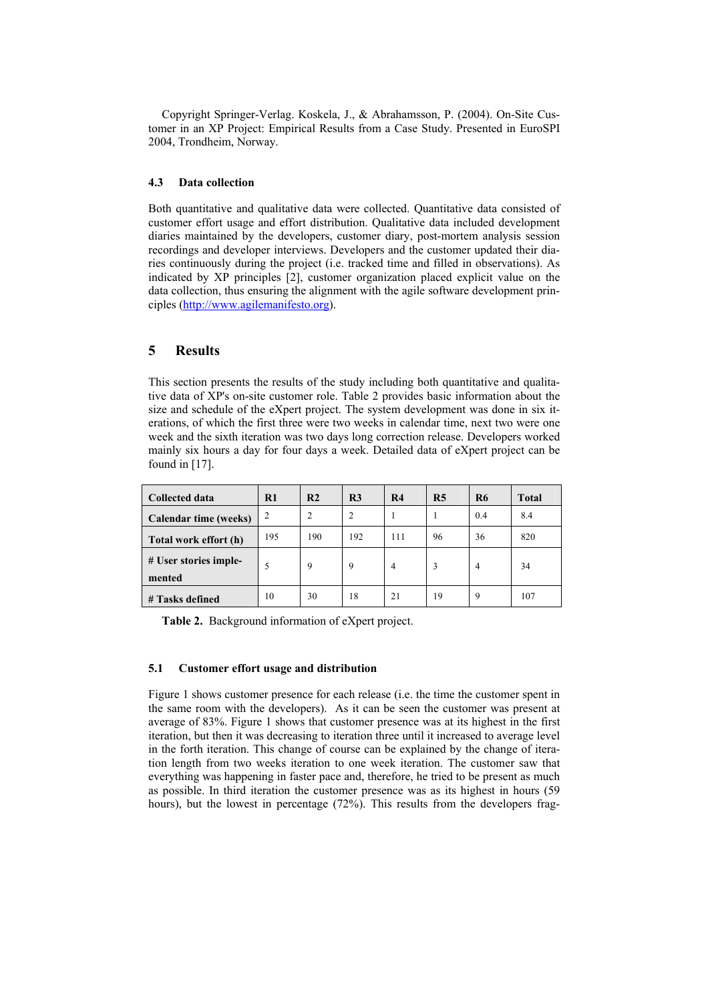#### **4.3 Data collection**

Both quantitative and qualitative data were collected. Quantitative data consisted of customer effort usage and effort distribution. Qualitative data included development diaries maintained by the developers, customer diary, post-mortem analysis session recordings and developer interviews. Developers and the customer updated their diaries continuously during the project (i.e. tracked time and filled in observations). As indicated by XP principles [2], customer organization placed explicit value on the data collection, thus ensuring the alignment with the agile software development principles (http://www.agilemanifesto.org).

# **5 Results**

This section presents the results of the study including both quantitative and qualitative data of XP's on-site customer role. Table 2 provides basic information about the size and schedule of the eXpert project. The system development was done in six iterations, of which the first three were two weeks in calendar time, next two were one week and the sixth iteration was two days long correction release. Developers worked mainly six hours a day for four days a week. Detailed data of eXpert project can be found in [17].

| <b>Collected data</b>        | R1             | R <sub>2</sub> | R <sub>3</sub> | R4  | R <sub>5</sub> | <b>R6</b> | <b>Total</b> |
|------------------------------|----------------|----------------|----------------|-----|----------------|-----------|--------------|
| <b>Calendar time (weeks)</b> | $\overline{2}$ | 2              | $\overline{c}$ |     |                | 0.4       | 8.4          |
| Total work effort (h)        | 195            | 190            | 192            | 111 | 96             | 36        | 820          |
| # User stories imple-        |                | 9              | 9              | 4   | 3              | 4         | 34           |
| mented                       |                |                |                |     |                |           |              |
| # Tasks defined              | 10             | 30             | 18             | 21  | 19             | 9         | 107          |

**Table 2.** Background information of eXpert project.

## **5.1 Customer effort usage and distribution**

Figure 1 shows customer presence for each release (i.e. the time the customer spent in the same room with the developers). As it can be seen the customer was present at average of 83%. Figure 1 shows that customer presence was at its highest in the first iteration, but then it was decreasing to iteration three until it increased to average level in the forth iteration. This change of course can be explained by the change of iteration length from two weeks iteration to one week iteration. The customer saw that everything was happening in faster pace and, therefore, he tried to be present as much as possible. In third iteration the customer presence was as its highest in hours (59 hours), but the lowest in percentage (72%). This results from the developers frag-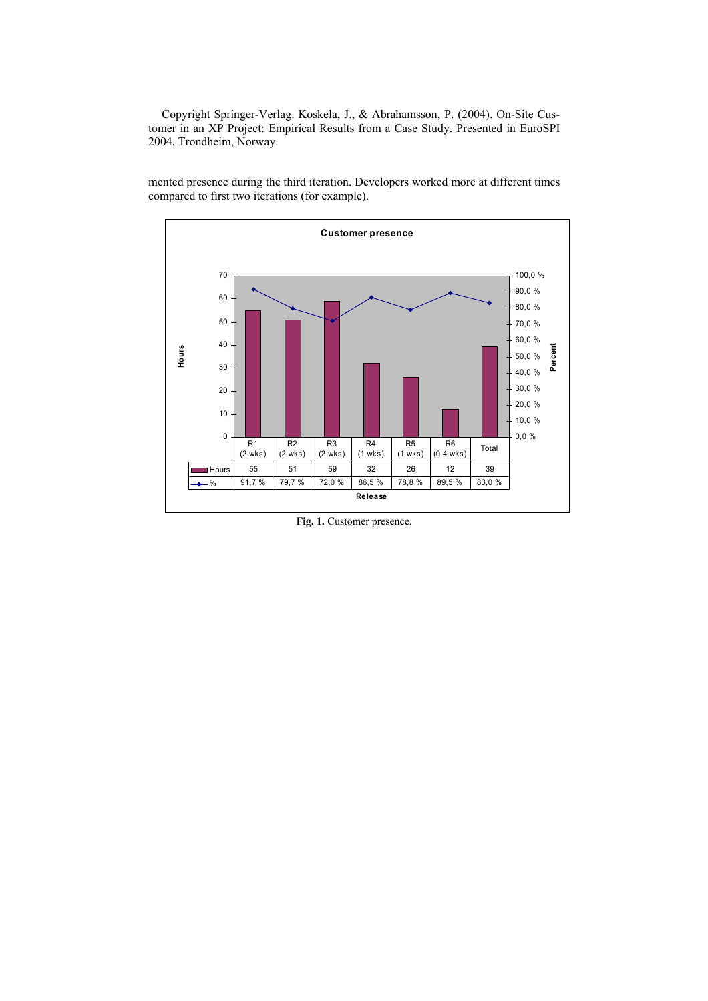

mented presence during the third iteration. Developers worked more at different times compared to first two iterations (for example).

**Fig. 1.** Customer presence.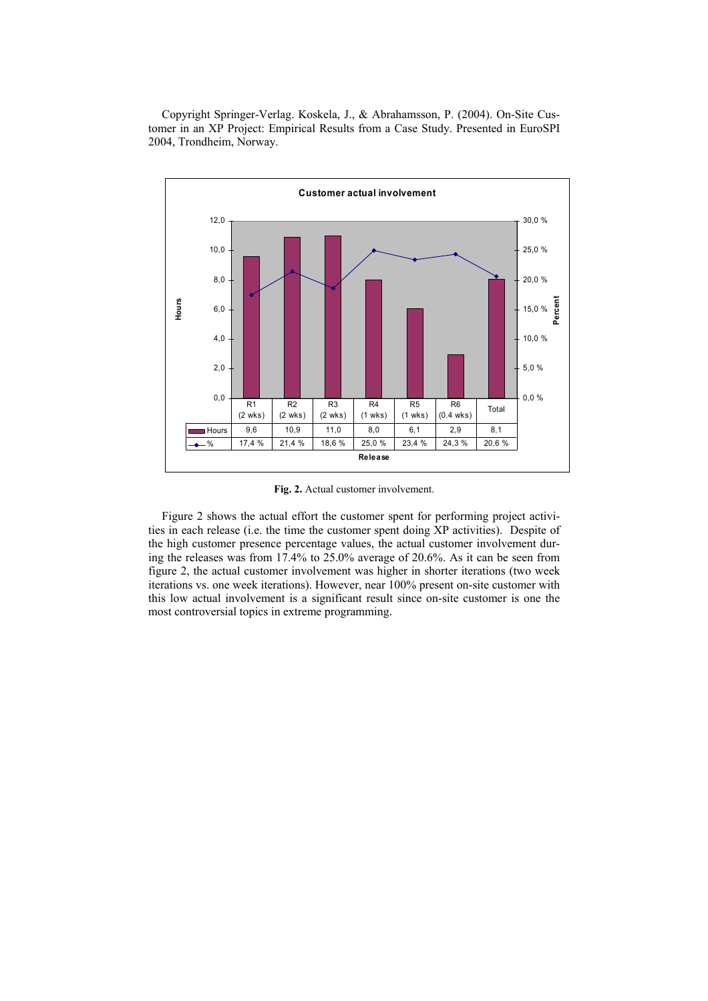

**Fig. 2.** Actual customer involvement.

Figure 2 shows the actual effort the customer spent for performing project activities in each release (i.e. the time the customer spent doing XP activities). Despite of the high customer presence percentage values, the actual customer involvement during the releases was from 17.4% to 25.0% average of 20.6%. As it can be seen from figure 2, the actual customer involvement was higher in shorter iterations (two week iterations vs. one week iterations). However, near 100% present on-site customer with this low actual involvement is a significant result since on-site customer is one the most controversial topics in extreme programming.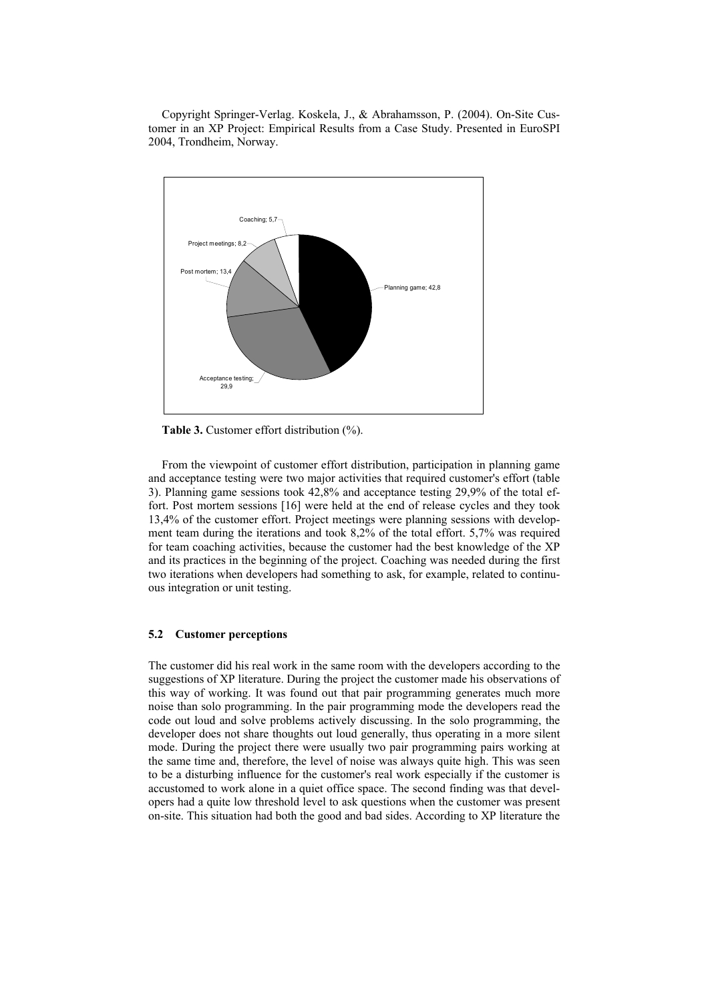

Table 3. Customer effort distribution  $(\% )$ .

From the viewpoint of customer effort distribution, participation in planning game and acceptance testing were two major activities that required customer's effort (table 3). Planning game sessions took 42,8% and acceptance testing 29,9% of the total effort. Post mortem sessions [16] were held at the end of release cycles and they took 13,4% of the customer effort. Project meetings were planning sessions with development team during the iterations and took 8,2% of the total effort. 5,7% was required for team coaching activities, because the customer had the best knowledge of the XP and its practices in the beginning of the project. Coaching was needed during the first two iterations when developers had something to ask, for example, related to continuous integration or unit testing.

#### **5.2 Customer perceptions**

The customer did his real work in the same room with the developers according to the suggestions of XP literature. During the project the customer made his observations of this way of working. It was found out that pair programming generates much more noise than solo programming. In the pair programming mode the developers read the code out loud and solve problems actively discussing. In the solo programming, the developer does not share thoughts out loud generally, thus operating in a more silent mode. During the project there were usually two pair programming pairs working at the same time and, therefore, the level of noise was always quite high. This was seen to be a disturbing influence for the customer's real work especially if the customer is accustomed to work alone in a quiet office space. The second finding was that developers had a quite low threshold level to ask questions when the customer was present on-site. This situation had both the good and bad sides. According to XP literature the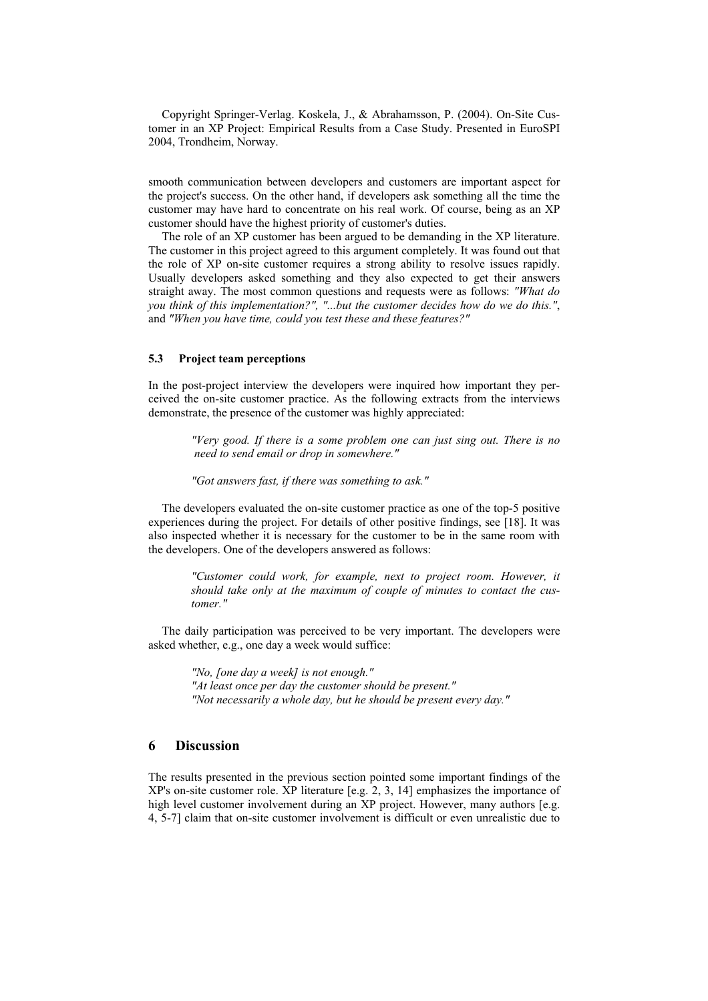smooth communication between developers and customers are important aspect for the project's success. On the other hand, if developers ask something all the time the customer may have hard to concentrate on his real work. Of course, being as an XP customer should have the highest priority of customer's duties.

The role of an XP customer has been argued to be demanding in the XP literature. The customer in this project agreed to this argument completely. It was found out that the role of XP on-site customer requires a strong ability to resolve issues rapidly. Usually developers asked something and they also expected to get their answers straight away. The most common questions and requests were as follows: *"What do you think of this implementation?", "...but the customer decides how do we do this."*, and *"When you have time, could you test these and these features?"*

#### **5.3 Project team perceptions**

In the post-project interview the developers were inquired how important they perceived the on-site customer practice. As the following extracts from the interviews demonstrate, the presence of the customer was highly appreciated:

> *"Very good. If there is a some problem one can just sing out. There is no need to send email or drop in somewhere."*

 *"Got answers fast, if there was something to ask."* 

The developers evaluated the on-site customer practice as one of the top-5 positive experiences during the project. For details of other positive findings, see [18]. It was also inspected whether it is necessary for the customer to be in the same room with the developers. One of the developers answered as follows:

> *"Customer could work, for example, next to project room. However, it should take only at the maximum of couple of minutes to contact the cus tomer."*

The daily participation was perceived to be very important. The developers were asked whether, e.g., one day a week would suffice:

> *"No, [one day a week] is not enough." "At least once per day the customer should be present." "Not necessarily a whole day, but he should be present every day."*

# **6 Discussion**

The results presented in the previous section pointed some important findings of the XP's on-site customer role. XP literature [e.g. 2, 3, 14] emphasizes the importance of high level customer involvement during an XP project. However, many authors [e.g.] 4, 5-7] claim that on-site customer involvement is difficult or even unrealistic due to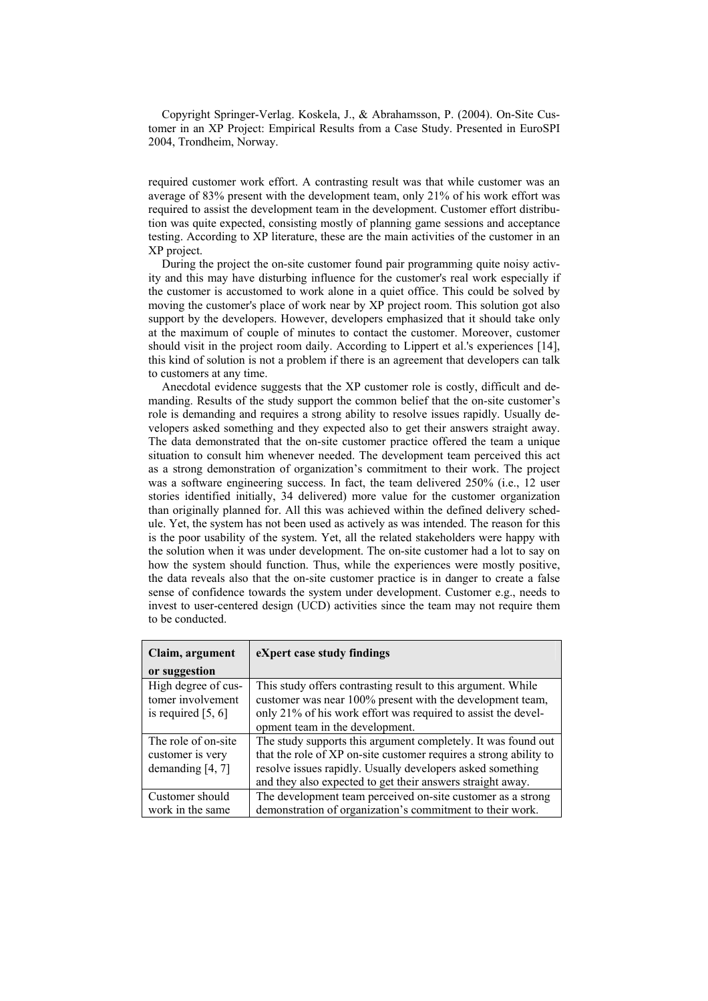required customer work effort. A contrasting result was that while customer was an average of 83% present with the development team, only 21% of his work effort was required to assist the development team in the development. Customer effort distribution was quite expected, consisting mostly of planning game sessions and acceptance testing. According to XP literature, these are the main activities of the customer in an XP project.

During the project the on-site customer found pair programming quite noisy activity and this may have disturbing influence for the customer's real work especially if the customer is accustomed to work alone in a quiet office. This could be solved by moving the customer's place of work near by XP project room. This solution got also support by the developers. However, developers emphasized that it should take only at the maximum of couple of minutes to contact the customer. Moreover, customer should visit in the project room daily. According to Lippert et al.'s experiences [14], this kind of solution is not a problem if there is an agreement that developers can talk to customers at any time.

Anecdotal evidence suggests that the XP customer role is costly, difficult and demanding. Results of the study support the common belief that the on-site customer's role is demanding and requires a strong ability to resolve issues rapidly. Usually developers asked something and they expected also to get their answers straight away. The data demonstrated that the on-site customer practice offered the team a unique situation to consult him whenever needed. The development team perceived this act as a strong demonstration of organization's commitment to their work. The project was a software engineering success. In fact, the team delivered 250% (i.e., 12 user stories identified initially, 34 delivered) more value for the customer organization than originally planned for. All this was achieved within the defined delivery schedule. Yet, the system has not been used as actively as was intended. The reason for this is the poor usability of the system. Yet, all the related stakeholders were happy with the solution when it was under development. The on-site customer had a lot to say on how the system should function. Thus, while the experiences were mostly positive, the data reveals also that the on-site customer practice is in danger to create a false sense of confidence towards the system under development. Customer e.g., needs to invest to user-centered design (UCD) activities since the team may not require them to be conducted.

| Claim, argument                                                  | eXpert case study findings                                                                                                                                                                                                                                     |
|------------------------------------------------------------------|----------------------------------------------------------------------------------------------------------------------------------------------------------------------------------------------------------------------------------------------------------------|
| or suggestion                                                    |                                                                                                                                                                                                                                                                |
| High degree of cus-<br>tomer involvement<br>is required $[5, 6]$ | This study offers contrasting result to this argument. While<br>customer was near 100% present with the development team,<br>only 21% of his work effort was required to assist the devel-<br>opment team in the development.                                  |
| The role of on-site<br>customer is very<br>demanding $[4, 7]$    | The study supports this argument completely. It was found out<br>that the role of XP on-site customer requires a strong ability to<br>resolve issues rapidly. Usually developers asked something<br>and they also expected to get their answers straight away. |
| Customer should<br>work in the same                              | The development team perceived on-site customer as a strong<br>demonstration of organization's commitment to their work.                                                                                                                                       |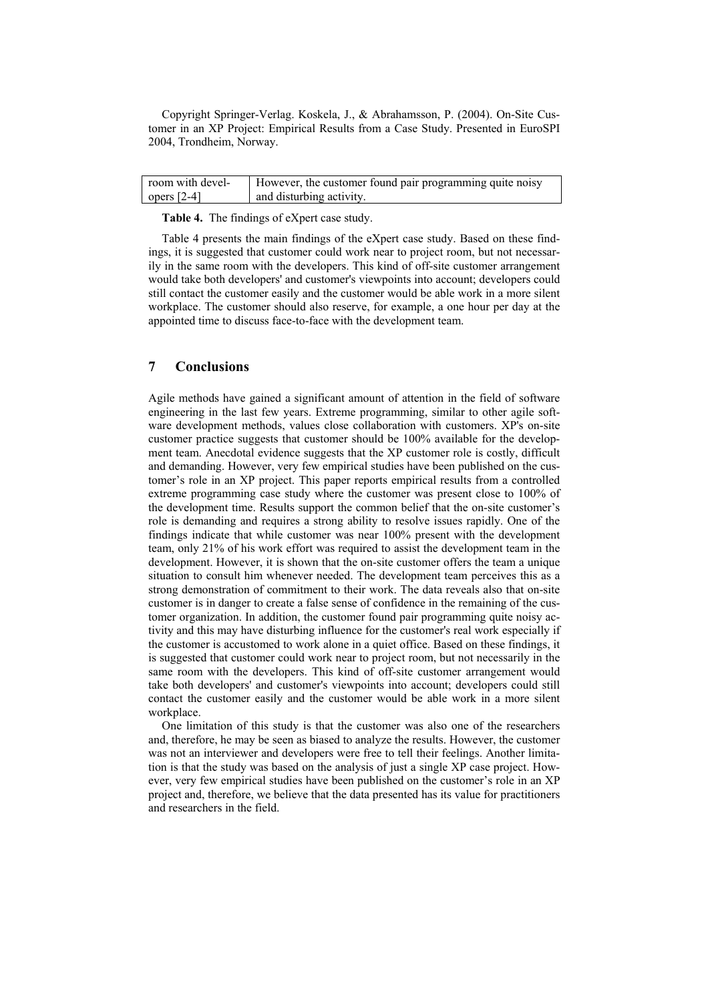room with developers [2-4] However, the customer found pair programming quite noisy and disturbing activity.

**Table 4.** The findings of eXpert case study.

Table 4 presents the main findings of the eXpert case study. Based on these findings, it is suggested that customer could work near to project room, but not necessarily in the same room with the developers. This kind of off-site customer arrangement would take both developers' and customer's viewpoints into account; developers could still contact the customer easily and the customer would be able work in a more silent workplace. The customer should also reserve, for example, a one hour per day at the appointed time to discuss face-to-face with the development team.

# **7 Conclusions**

Agile methods have gained a significant amount of attention in the field of software engineering in the last few years. Extreme programming, similar to other agile software development methods, values close collaboration with customers. XP's on-site customer practice suggests that customer should be 100% available for the development team. Anecdotal evidence suggests that the XP customer role is costly, difficult and demanding. However, very few empirical studies have been published on the customer's role in an XP project. This paper reports empirical results from a controlled extreme programming case study where the customer was present close to 100% of the development time. Results support the common belief that the on-site customer's role is demanding and requires a strong ability to resolve issues rapidly. One of the findings indicate that while customer was near 100% present with the development team, only 21% of his work effort was required to assist the development team in the development. However, it is shown that the on-site customer offers the team a unique situation to consult him whenever needed. The development team perceives this as a strong demonstration of commitment to their work. The data reveals also that on-site customer is in danger to create a false sense of confidence in the remaining of the customer organization. In addition, the customer found pair programming quite noisy activity and this may have disturbing influence for the customer's real work especially if the customer is accustomed to work alone in a quiet office. Based on these findings, it is suggested that customer could work near to project room, but not necessarily in the same room with the developers. This kind of off-site customer arrangement would take both developers' and customer's viewpoints into account; developers could still contact the customer easily and the customer would be able work in a more silent workplace.

One limitation of this study is that the customer was also one of the researchers and, therefore, he may be seen as biased to analyze the results. However, the customer was not an interviewer and developers were free to tell their feelings. Another limitation is that the study was based on the analysis of just a single XP case project. However, very few empirical studies have been published on the customer's role in an XP project and, therefore, we believe that the data presented has its value for practitioners and researchers in the field.